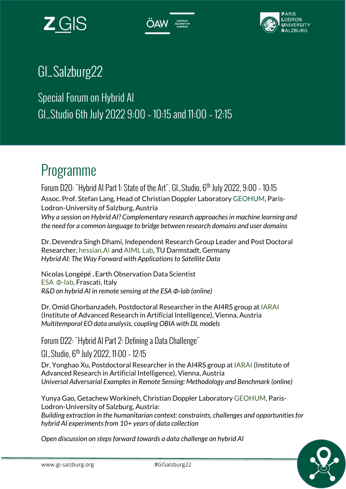





## GI\_Salzburg22

Special Forum on Hybrid AI GI\_Studio 6th July 2022 9:00 – 10:15 and 11:00 – 12:15

# Programme

Forum D20: "Hybrid AI Part 1: State of the Art", GI\_Studio, 6th July 2022, 9:00 – 10:15 Assoc. Prof. Stefan Lang, Head of Christian Doppler Laboratory GEOHUM, Paris-Lodron-University of Salzburg, Austria Why a session on Hybrid AI? Complementary research approaches in machine learning and the need for a common language to bridge between research domains and user domains

Dr. Devendra Singh Dhami, Independent Research Group Leader and Post Doctoral Researcher, hessian.AI and AIML Lab, TU Darmstadt, Germany Hybrid AI: The Way Forward with Applications to Satellite Data

Nicolas Longépé , Earth Observation Data Scientist ESA Φ-lab, Frascati, Italy R&D on hybrid AI in remote sensing at the ESA Φ-lab (online)

Dr. Omid Ghorbanzadeh, Postdoctoral Researcher in the AI4RS group at IARAI (Institute of Advanced Research in Artificial Intelligence), Vienna, Austria Multitemporal EO data analysis, coupling OBIA with DL models

Forum D22: "Hybrid AI Part 2: Defining a Data Challenge"

GI\_Studio, 6th July 2022, 11:00 – 12:15

Dr. Yonghao Xu, Postdoctoral Researcher in the AI4RS group at IARAI (Institute of Advanced Research in Artificial Intelligence), Vienna, Austria Universal Adversarial Examples in Remote Sensing: Methodology and Benchmark (online)

Yunya Gao, Getachew Workineh, Christian Doppler Laboratory GEOHUM, Paris-Lodron-University of Salzburg, Austria: Building extraction in the humanitarian context: constraints, challenges and opportunities for hybrid AI experiments from 10+ years of data collection

Open discussion on steps forward towards a data challenge on hybrid AI

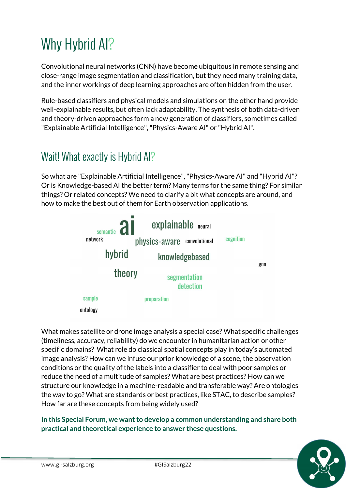# Why Hybrid Al?

Convolutional neural networks (CNN) have become ubiquitous in remote sensing and close-range image segmentation and classification, but they need many training data, and the inner workings of deep learning approaches are often hidden from the user.

Rule-based classifiers and physical models and simulations on the other hand provide well-explainable results, but often lack adaptability. The synthesis of both data-driven and theory-driven approaches form a new generation of classifiers, sometimes called "Explainable Artificial Intelligence", "Physics-Aware AI" or "Hybrid AI".

#### Wait! What exactly is Hybrid AI?

So what are "Explainable Artificial Intelligence", "Physics-Aware AI" and "Hybrid AI"? Or is Knowledge-based AI the better term? Many terms for the same thing? For similar things? Or related concepts? We need to clarify a bit what concepts are around, and how to make the best out of them for Earth observation applications.



What makes satellite or drone image analysis a special case? What specific challenges (timeliness, accuracy, reliability) do we encounter in humanitarian action or other specific domains? What role do classical spatial concepts play in today's automated image analysis? How can we infuse our prior knowledge of a scene, the observation conditions or the quality of the labels into a classifier to deal with poor samples or reduce the need of a multitude of samples? What are best practices? How can we structure our knowledge in a machine-readable and transferable way? Are ontologies the way to go? What are standards or best practices, like STAC, to describe samples? How far are these concepts from being widely used?

In this Special Forum, we want to develop a common understanding and share both practical and theoretical experience to answer these questions.